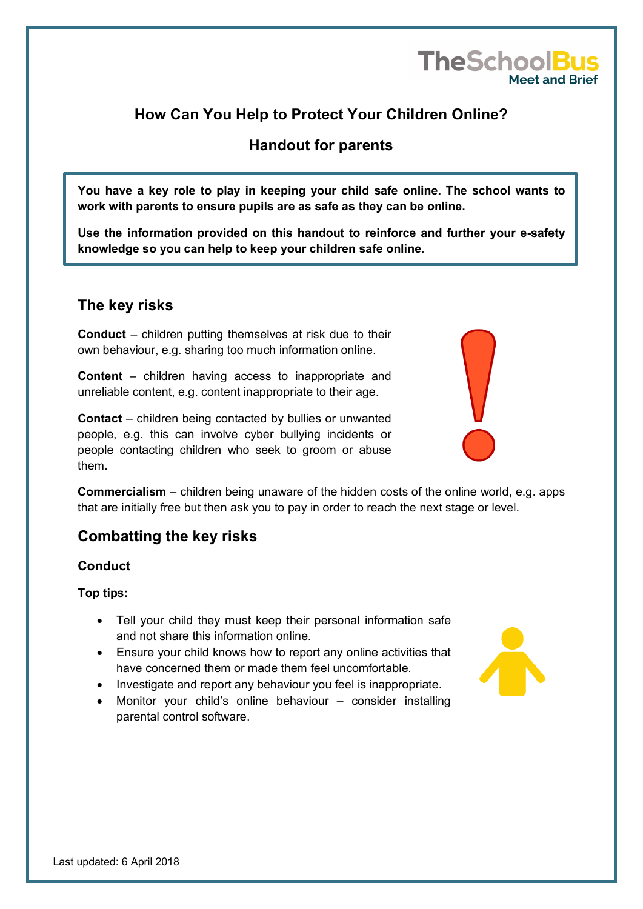# **How Can You Help to Protect Your Children Online?**

# **Handout for parents**

**You have a key role to play in keeping your child safe online. The school wants to work with parents to ensure pupils are as safe as they can be online.** 

**Use the information provided on this handout to reinforce and further your e-safety knowledge so you can help to keep your children safe online.** 

# **The key risks**

**Conduct** – children putting themselves at risk due to their own behaviour, e.g. sharing too much information online.

**Content** – children having access to inappropriate and unreliable content, e.g. content inappropriate to their age.

**Contact** – children being contacted by bullies or unwanted people, e.g. this can involve cyber bullying incidents or people contacting children who seek to groom or abuse them.

**Commercialism** – children being unaware of the hidden costs of the online world, e.g. apps that are initially free but then ask you to pay in order to reach the next stage or level.

## **Combatting the key risks**

#### **Conduct**

#### **Top tips:**

- Tell your child they must keep their personal information safe and not share this information online.
- Ensure your child knows how to report any online activities that have concerned them or made them feel uncomfortable.
- Investigate and report any behaviour you feel is inappropriate.
- Monitor your child's online behaviour consider installing parental control software.





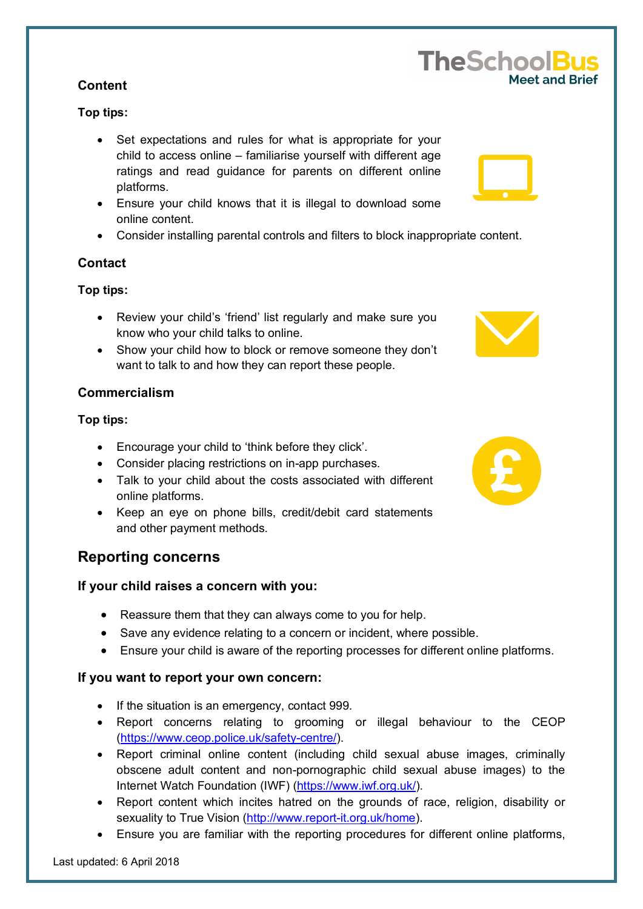### **Content**

### **Top tips:**

- Set expectations and rules for what is appropriate for your child to access online – familiarise yourself with different age ratings and read guidance for parents on different online platforms.
- Ensure your child knows that it is illegal to download some online content.
- Consider installing parental controls and filters to block inappropriate content.

### **Contact**

### **Top tips:**

- Review your child's 'friend' list regularly and make sure you know who your child talks to online.
- Show your child how to block or remove someone they don't want to talk to and how they can report these people.

### **Commercialism**

### **Top tips:**

- Encourage your child to 'think before they click'.
- Consider placing restrictions on in-app purchases.
- Talk to your child about the costs associated with different online platforms.
- Keep an eye on phone bills, credit/debit card statements and other payment methods.

# **Reporting concerns**

#### **If your child raises a concern with you:**

- Reassure them that they can always come to you for help.
- Save any evidence relating to a concern or incident, where possible.
- Ensure your child is aware of the reporting processes for different online platforms.

#### **If you want to report your own concern:**

- If the situation is an emergency, contact 999.
- Report concerns relating to grooming or illegal behaviour to the CEOP [\(https://www.ceop.police.uk/safety-centre/\)](https://www.ceop.police.uk/safety-centre/).
- Report criminal online content (including child sexual abuse images, criminally obscene adult content and non-pornographic child sexual abuse images) to the Internet Watch Foundation (IWF) [\(https://www.iwf.org.uk/\)](https://www.iwf.org.uk/).
- Report content which incites hatred on the grounds of race, religion, disability or sexuality to True Vision [\(http://www.report-it.org.uk/home\)](http://www.report-it.org.uk/home).
- Ensure you are familiar with the reporting procedures for different online platforms,







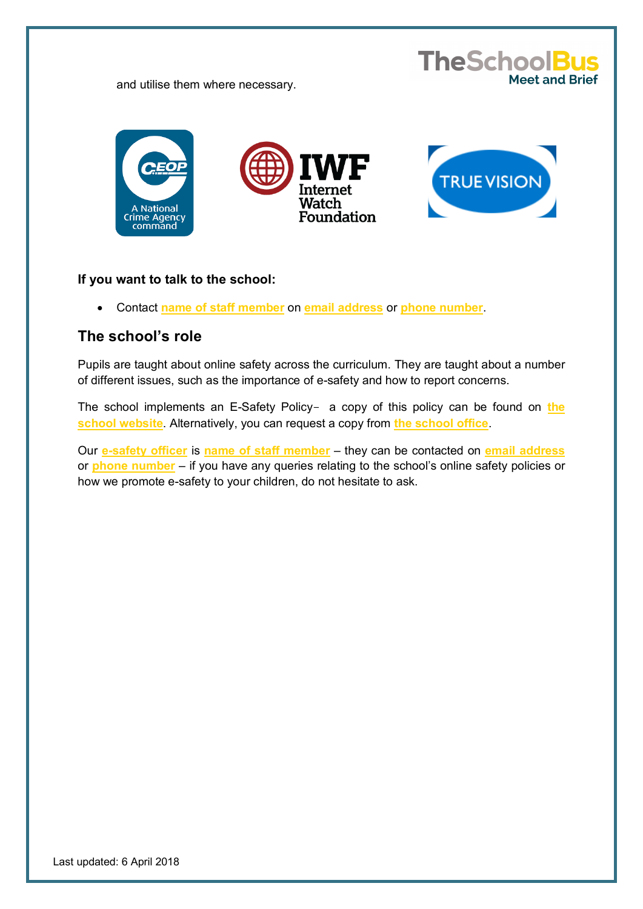and utilise them where necessary.



**TheSchoolBus** 

Meet and Brief

#### **If you want to talk to the school:**

• Contact **name of staff member** on **email address** or **phone number**.

## **The school's role**

Pupils are taught about online safety across the curriculum. They are taught about a number of different issues, such as the importance of e-safety and how to report concerns.

The school implements an E-Safety Policy- a copy of this policy can be found on **the school website**. Alternatively, you can request a copy from **the school office**.

Our **e-safety officer** is **name of staff member** – they can be contacted on **email address** or **phone number** – if you have any queries relating to the school's online safety policies or how we promote e-safety to your children, do not hesitate to ask.